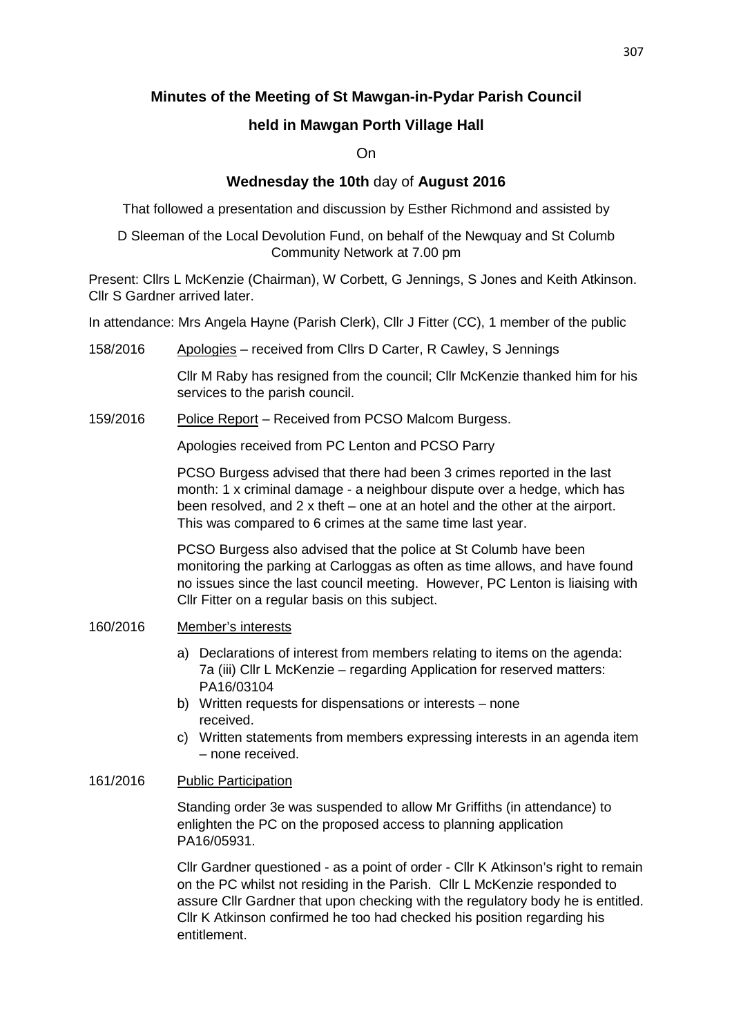# **Minutes of the Meeting of St Mawgan-in-Pydar Parish Council**

# **held in Mawgan Porth Village Hall**

## On

## **Wednesday the 10th** day of **August 2016**

That followed a presentation and discussion by Esther Richmond and assisted by

D Sleeman of the Local Devolution Fund, on behalf of the Newquay and St Columb Community Network at 7.00 pm

Present: Cllrs L McKenzie (Chairman), W Corbett, G Jennings, S Jones and Keith Atkinson. Cllr S Gardner arrived later.

In attendance: Mrs Angela Hayne (Parish Clerk), Cllr J Fitter (CC), 1 member of the public

158/2016 Apologies – received from Cllrs D Carter, R Cawley, S Jennings

Cllr M Raby has resigned from the council; Cllr McKenzie thanked him for his services to the parish council.

159/2016 Police Report – Received from PCSO Malcom Burgess.

Apologies received from PC Lenton and PCSO Parry

PCSO Burgess advised that there had been 3 crimes reported in the last month: 1 x criminal damage - a neighbour dispute over a hedge, which has been resolved, and 2 x theft – one at an hotel and the other at the airport. This was compared to 6 crimes at the same time last year.

 PCSO Burgess also advised that the police at St Columb have been monitoring the parking at Carloggas as often as time allows, and have found no issues since the last council meeting. However, PC Lenton is liaising with Cllr Fitter on a regular basis on this subject.

## 160/2016 Member's interests

- a) Declarations of interest from members relating to items on the agenda: 7a (iii) Cllr L McKenzie – regarding Application for reserved matters: PA16/03104
- b) Written requests for dispensations or interests none received.
- c) Written statements from members expressing interests in an agenda item – none received.

#### 161/2016 Public Participation

Standing order 3e was suspended to allow Mr Griffiths (in attendance) to enlighten the PC on the proposed access to planning application PA16/05931.

Cllr Gardner questioned - as a point of order - Cllr K Atkinson's right to remain on the PC whilst not residing in the Parish. Cllr L McKenzie responded to assure Cllr Gardner that upon checking with the regulatory body he is entitled. Cllr K Atkinson confirmed he too had checked his position regarding his entitlement.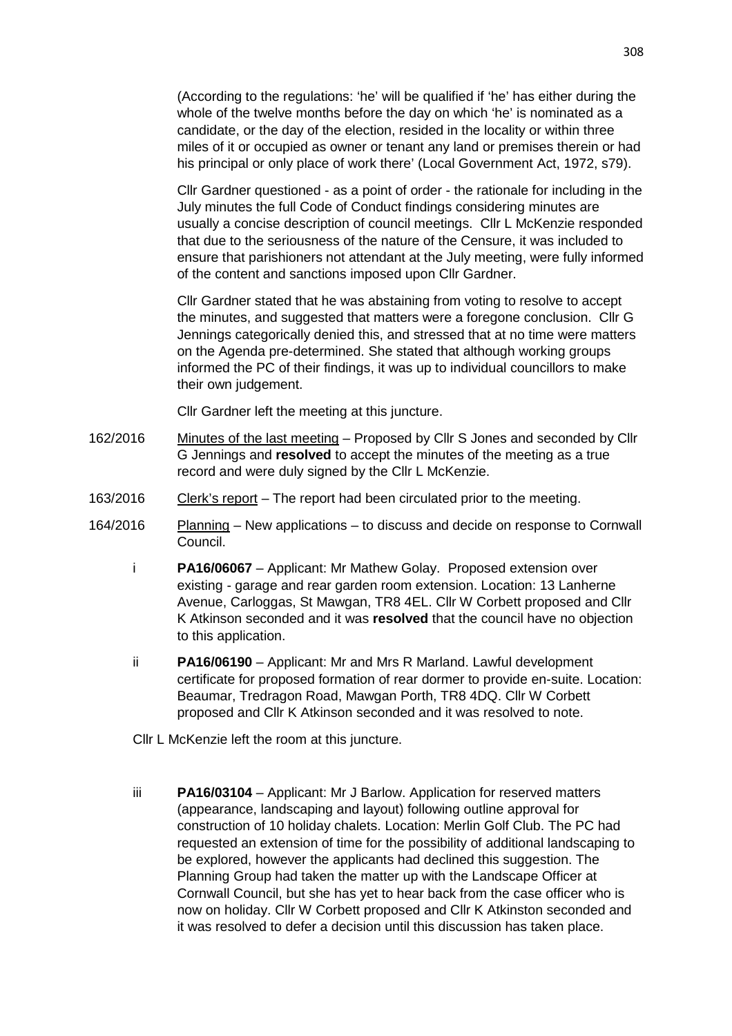(According to the regulations: 'he' will be qualified if 'he' has either during the whole of the twelve months before the day on which 'he' is nominated as a candidate, or the day of the election, resided in the locality or within three miles of it or occupied as owner or tenant any land or premises therein or had his principal or only place of work there' (Local Government Act, 1972, s79).

Cllr Gardner questioned - as a point of order - the rationale for including in the July minutes the full Code of Conduct findings considering minutes are usually a concise description of council meetings. Cllr L McKenzie responded that due to the seriousness of the nature of the Censure, it was included to ensure that parishioners not attendant at the July meeting, were fully informed of the content and sanctions imposed upon Cllr Gardner.

Cllr Gardner stated that he was abstaining from voting to resolve to accept the minutes, and suggested that matters were a foregone conclusion. Cllr G Jennings categorically denied this, and stressed that at no time were matters on the Agenda pre-determined. She stated that although working groups informed the PC of their findings, it was up to individual councillors to make their own judgement.

Cllr Gardner left the meeting at this juncture.

- 162/2016 Minutes of the last meeting Proposed by Cllr S Jones and seconded by Cllr G Jennings and **resolved** to accept the minutes of the meeting as a true record and were duly signed by the Cllr L McKenzie.
- 163/2016 Clerk's report The report had been circulated prior to the meeting.
- 164/2016 Planning New applications to discuss and decide on response to Cornwall Council.
	- i **PA16/06067** Applicant: Mr Mathew Golay. Proposed extension over existing - garage and rear garden room extension. Location: 13 Lanherne Avenue, Carloggas, St Mawgan, TR8 4EL. Cllr W Corbett proposed and Cllr K Atkinson seconded and it was **resolved** that the council have no objection to this application.
	- ii **PA16/06190** Applicant: Mr and Mrs R Marland. Lawful development certificate for proposed formation of rear dormer to provide en-suite. Location: Beaumar, Tredragon Road, Mawgan Porth, TR8 4DQ. Cllr W Corbett proposed and Cllr K Atkinson seconded and it was resolved to note.
	- Cllr L McKenzie left the room at this juncture.
	- iii **PA16/03104** Applicant: Mr J Barlow. Application for reserved matters (appearance, landscaping and layout) following outline approval for construction of 10 holiday chalets. Location: Merlin Golf Club. The PC had requested an extension of time for the possibility of additional landscaping to be explored, however the applicants had declined this suggestion. The Planning Group had taken the matter up with the Landscape Officer at Cornwall Council, but she has yet to hear back from the case officer who is now on holiday. Cllr W Corbett proposed and Cllr K Atkinston seconded and it was resolved to defer a decision until this discussion has taken place.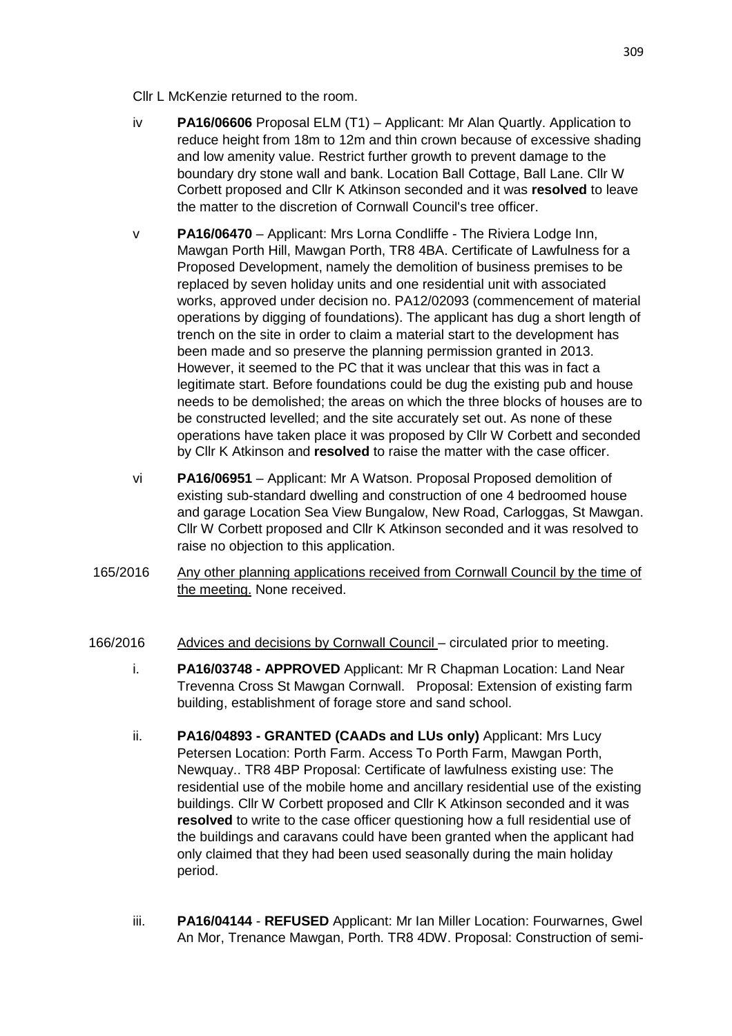Cllr L McKenzie returned to the room.

- iv **PA16/06606** Proposal ELM (T1) Applicant: Mr Alan Quartly. Application to reduce height from 18m to 12m and thin crown because of excessive shading and low amenity value. Restrict further growth to prevent damage to the boundary dry stone wall and bank. Location Ball Cottage, Ball Lane. Cllr W Corbett proposed and Cllr K Atkinson seconded and it was **resolved** to leave the matter to the discretion of Cornwall Council's tree officer.
- v **PA16/06470** Applicant: Mrs Lorna Condliffe The Riviera Lodge Inn, Mawgan Porth Hill, Mawgan Porth, TR8 4BA. Certificate of Lawfulness for a Proposed Development, namely the demolition of business premises to be replaced by seven holiday units and one residential unit with associated works, approved under decision no. PA12/02093 (commencement of material operations by digging of foundations). The applicant has dug a short length of trench on the site in order to claim a material start to the development has been made and so preserve the planning permission granted in 2013. However, it seemed to the PC that it was unclear that this was in fact a legitimate start. Before foundations could be dug the existing pub and house needs to be demolished; the areas on which the three blocks of houses are to be constructed levelled; and the site accurately set out. As none of these operations have taken place it was proposed by Cllr W Corbett and seconded by Cllr K Atkinson and **resolved** to raise the matter with the case officer.
- vi **PA16/06951** Applicant: Mr A Watson. Proposal Proposed demolition of existing sub-standard dwelling and construction of one 4 bedroomed house and garage Location Sea View Bungalow, New Road, Carloggas, St Mawgan. Cllr W Corbett proposed and Cllr K Atkinson seconded and it was resolved to raise no objection to this application.
- 165/2016 Any other planning applications received from Cornwall Council by the time of the meeting. None received.
- 166/2016 Advices and decisions by Cornwall Council circulated prior to meeting.
	- i. **PA16/03748 APPROVED** Applicant: Mr R Chapman Location: Land Near Trevenna Cross St Mawgan Cornwall. Proposal: Extension of existing farm building, establishment of forage store and sand school.
	- ii. **PA16/04893 - GRANTED (CAADs and LUs only)** Applicant: Mrs Lucy Petersen Location: Porth Farm. Access To Porth Farm, Mawgan Porth, Newquay.. TR8 4BP Proposal: Certificate of lawfulness existing use: The residential use of the mobile home and ancillary residential use of the existing buildings. Cllr W Corbett proposed and Cllr K Atkinson seconded and it was **resolved** to write to the case officer questioning how a full residential use of the buildings and caravans could have been granted when the applicant had only claimed that they had been used seasonally during the main holiday period.
	- iii. **PA16/04144 REFUSED** Applicant: Mr Ian Miller Location: Fourwarnes, Gwel An Mor, Trenance Mawgan, Porth. TR8 4DW. Proposal: Construction of semi-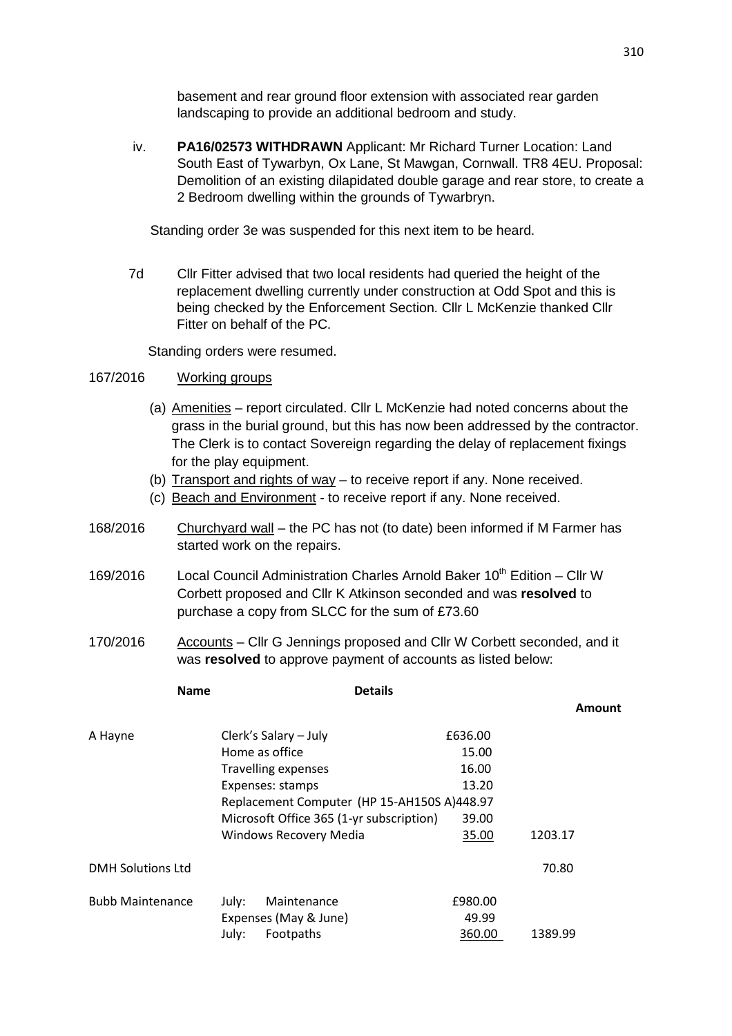basement and rear ground floor extension with associated rear garden landscaping to provide an additional bedroom and study.

iv. **PA16/02573 WITHDRAWN** Applicant: Mr Richard Turner Location: Land South East of Tywarbyn, Ox Lane, St Mawgan, Cornwall. TR8 4EU. Proposal: Demolition of an existing dilapidated double garage and rear store, to create a 2 Bedroom dwelling within the grounds of Tywarbryn.

Standing order 3e was suspended for this next item to be heard.

 7d Cllr Fitter advised that two local residents had queried the height of the replacement dwelling currently under construction at Odd Spot and this is being checked by the Enforcement Section. Cllr L McKenzie thanked Cllr Fitter on behalf of the PC.

Standing orders were resumed.

#### 167/2016 Working groups

- (a) Amenities report circulated. Cllr L McKenzie had noted concerns about the grass in the burial ground, but this has now been addressed by the contractor. The Clerk is to contact Sovereign regarding the delay of replacement fixings for the play equipment.
- (b) Transport and rights of way to receive report if any. None received.
- (c) Beach and Environment to receive report if any. None received.
- 168/2016 Churchyard wall the PC has not (to date) been informed if M Farmer has started work on the repairs.
- 169/2016 Local Council Administration Charles Arnold Baker  $10^{th}$  Edition Cllr W Corbett proposed and Cllr K Atkinson seconded and was **resolved** to purchase a copy from SLCC for the sum of £73.60
- 170/2016 Accounts Cllr G Jennings proposed and Cllr W Corbett seconded, and it was **resolved** to approve payment of accounts as listed below:

| <b>Name</b>              | <b>Details</b>                              |         |               |
|--------------------------|---------------------------------------------|---------|---------------|
|                          |                                             |         | <b>Amount</b> |
| A Hayne                  | Clerk's Salary - July                       | £636.00 |               |
|                          | Home as office                              | 15.00   |               |
|                          | <b>Travelling expenses</b>                  | 16.00   |               |
|                          | Expenses: stamps                            | 13.20   |               |
|                          | Replacement Computer (HP 15-AH150S A)448.97 |         |               |
|                          | Microsoft Office 365 (1-yr subscription)    | 39.00   |               |
|                          | <b>Windows Recovery Media</b>               | 35.00   | 1203.17       |
| <b>DMH Solutions Ltd</b> |                                             |         | 70.80         |
| <b>Bubb Maintenance</b>  | Maintenance<br>July:                        | £980.00 |               |
|                          | Expenses (May & June)                       | 49.99   |               |
|                          | July:<br>Footpaths                          | 360.00  | 1389.99       |